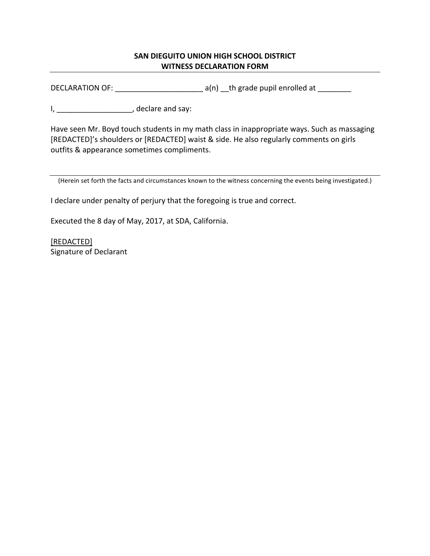## **SAN DIEGUITO UNION HIGH SCHOOL DISTRICT WITNESS DECLARATION FORM**

DECLARATION OF:  $\frac{1}{\sqrt{2}}$  a(n)  $\frac{1}{\sqrt{2}}$  a (n) and  $\frac{1}{\sqrt{2}}$  and  $\frac{1}{\sqrt{2}}$  and  $\frac{1}{\sqrt{2}}$  and  $\frac{1}{\sqrt{2}}$  and  $\frac{1}{\sqrt{2}}$  and  $\frac{1}{\sqrt{2}}$  and  $\frac{1}{\sqrt{2}}$  and  $\frac{1}{\sqrt{2}}$  and  $\frac{1}{\sqrt{2}}$  and  $\frac{1}{\sqrt{2}}$ 

I, \_\_\_\_\_\_\_\_\_\_\_\_\_\_\_\_\_\_\_\_\_\_, declare and say:

Have seen Mr. Boyd touch students in my math class in inappropriate ways. Such as massaging [REDACTED]'s shoulders or [REDACTED] waist & side. He also regularly comments on girls outfits & appearance sometimes compliments.

(Herein set forth the facts and circumstances known to the witness concerning the events being investigated.)

I declare under penalty of perjury that the foregoing is true and correct.

Executed the 8 day of May, 2017, at SDA, California.

[REDACTED] Signature of Declarant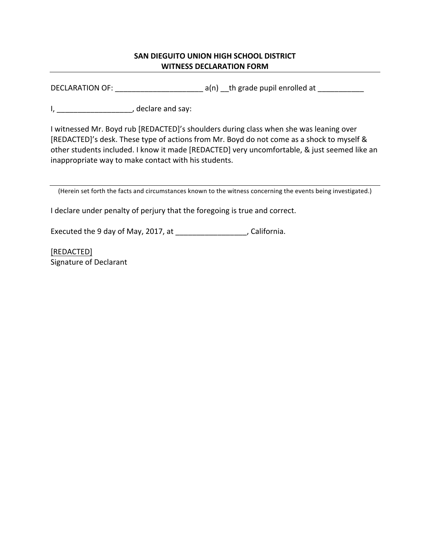## **SAN DIEGUITO UNION HIGH SCHOOL DISTRICT WITNESS DECLARATION FORM**

DECLARATION OF:  $\frac{1}{2}$  a(n)  $\frac{1}{2}$  th grade pupil enrolled at  $\frac{1}{2}$ 

I, \_\_\_\_\_\_\_\_\_\_\_\_\_\_\_\_\_\_\_\_\_\_, declare and say:

I witnessed Mr. Boyd rub [REDACTED]'s shoulders during class when she was leaning over [REDACTED]'s desk. These type of actions from Mr. Boyd do not come as a shock to myself & other students included. I know it made [REDACTED] very uncomfortable, & just seemed like an inappropriate way to make contact with his students.

(Herein set forth the facts and circumstances known to the witness concerning the events being investigated.)

I declare under penalty of perjury that the foregoing is true and correct.

Executed the 9 day of May, 2017, at  $\frac{1}{2}$  [2010], California.

[REDACTED] Signature of Declarant